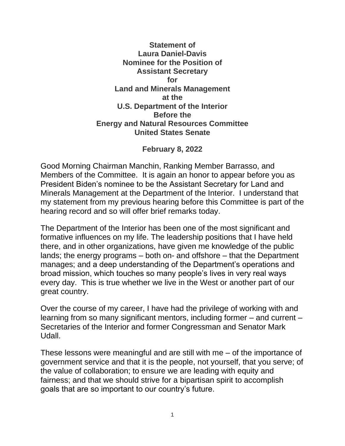## **Statement of Laura Daniel-Davis Nominee for the Position of Assistant Secretary for Land and Minerals Management at the U.S. Department of the Interior Before the Energy and Natural Resources Committee United States Senate**

## **February 8, 2022**

Good Morning Chairman Manchin, Ranking Member Barrasso, and Members of the Committee. It is again an honor to appear before you as President Biden's nominee to be the Assistant Secretary for Land and Minerals Management at the Department of the Interior. I understand that my statement from my previous hearing before this Committee is part of the hearing record and so will offer brief remarks today.

The Department of the Interior has been one of the most significant and formative influences on my life. The leadership positions that I have held there, and in other organizations, have given me knowledge of the public lands; the energy programs – both on- and offshore – that the Department manages; and a deep understanding of the Department's operations and broad mission, which touches so many people's lives in very real ways every day. This is true whether we live in the West or another part of our great country.

Over the course of my career, I have had the privilege of working with and learning from so many significant mentors, including former – and current – Secretaries of the Interior and former Congressman and Senator Mark Udall.

These lessons were meaningful and are still with me – of the importance of government service and that it is the people, not yourself, that you serve; of the value of collaboration; to ensure we are leading with equity and fairness; and that we should strive for a bipartisan spirit to accomplish goals that are so important to our country's future.